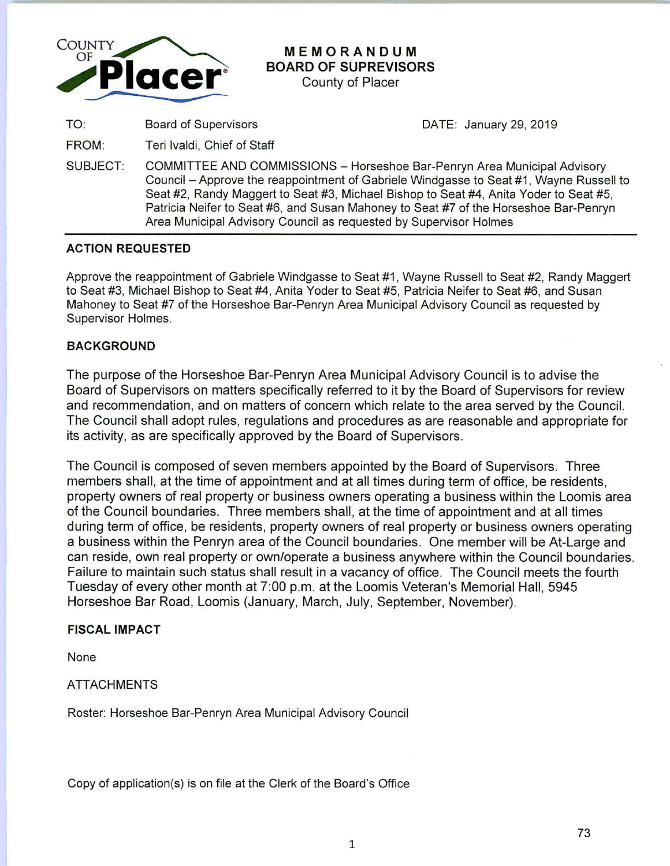

# **MEMORANDUM BOARD OF SUPREVISORS**

County of Placer

DATE: January 29, 2019

TO: Board of Supervisors

FROM: Teri lvaldi, Chief of Staff

SUBJECT: COMMITTEE AND COMMISSIONS - Horseshoe Bar-Penryn Area Municipal Advisory Council – Approve the reappointment of Gabriele Windgasse to Seat #1, Wayne Russell to Seat #2, Randy Maggert to Seat #3, Michael Bishop to Seat #4, Anita Yoder to Seat #5, Patricia Neifer to Seat #6, and Susan Mahoney to Seat #7 of the Horseshoe Bar-Penryn Area Municipal Advisory Council as requested by Supervisor Holmes

## **ACTION REQUESTED**

Approve the reappointment of Gabriele Windgasse to Seat #1 , Wayne Russell to Seat #2, Randy Maggert to Seat #3, Michael Bishop to Seat #4, Anita Yoder to Seat #5, Patricia Neifer to Seat #6, and Susan Mahoney to Seat #7 of the Horseshoe Bar-Penryn Area Municipal Advisory Council as requested by Supervisor Holmes.

## **BACKGROUND**

The purpose of the Horseshoe Bar-Penryn Area Municipal Advisory Council is to advise the Board of Supervisors on matters specifically referred to it by the Board of Supervisors for review and recommendation, and on matters of concern which relate to the area served by the Council. The Council shall adopt rules, regulations and procedures as are reasonable and appropriate for its activity, as are specifically approved by the Board of Supervisors.

The Council is composed of seven members appointed by the Board of Supervisors. Three members shall, at the time of appointment and at all times during term of office, be residents, property owners of real property or business owners operating a business within the Loomis area of the Council boundaries. Three members shall, at the time of appointment and at all times during term of office, be residents, property owners of real property or business owners operating a business within the Penryn area of the Council boundaries. One member will be At-Large and can reside, own real property or own/operate a business anywhere within the Council boundaries. Failure to maintain such status shall result in a vacancy of office. The Council meets the fourth Tuesday of every other month at 7:00 p.m. at the Loomis Veteran's Memorial Hall, 5945 Horseshoe Bar Road, Loomis (January, March, July, September, November).

### **FISCAL IMPACT**

None

### ATTACHMENTS

Roster: Horseshoe Bar-Penryn Area Municipal Advisory Council

Copy of application(s) is on file at the Clerk of the Board's Office